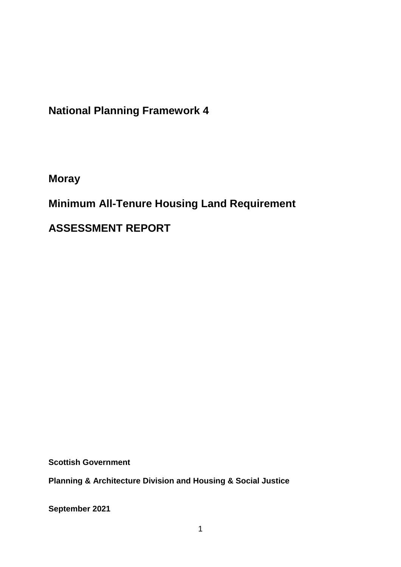**National Planning Framework 4**

**Moray**

**Minimum All-Tenure Housing Land Requirement** 

**ASSESSMENT REPORT**

**Scottish Government**

**Planning & Architecture Division and Housing & Social Justice** 

**September 2021**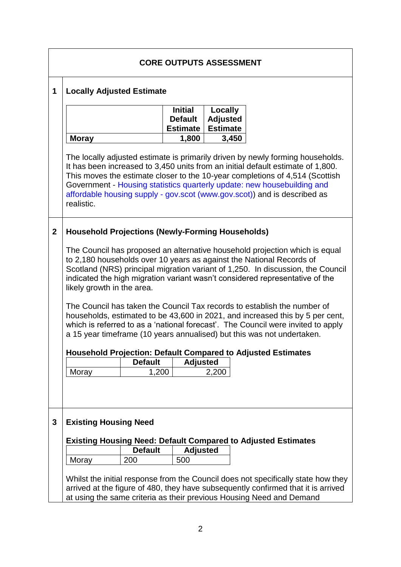|             |                                                                                                                                                                                                                                                                                                                                                      |                |                                                     | <b>CORE OUTPUTS ASSESSMENT</b>                |                                                                                                                                                                                                                                                                                                                                                                                                          |  |
|-------------|------------------------------------------------------------------------------------------------------------------------------------------------------------------------------------------------------------------------------------------------------------------------------------------------------------------------------------------------------|----------------|-----------------------------------------------------|-----------------------------------------------|----------------------------------------------------------------------------------------------------------------------------------------------------------------------------------------------------------------------------------------------------------------------------------------------------------------------------------------------------------------------------------------------------------|--|
| 1           | <b>Locally Adjusted Estimate</b>                                                                                                                                                                                                                                                                                                                     |                |                                                     |                                               |                                                                                                                                                                                                                                                                                                                                                                                                          |  |
|             |                                                                                                                                                                                                                                                                                                                                                      |                | <b>Initial</b><br><b>Default</b><br><b>Estimate</b> | Locally<br><b>Adjusted</b><br><b>Estimate</b> |                                                                                                                                                                                                                                                                                                                                                                                                          |  |
|             | <b>Moray</b>                                                                                                                                                                                                                                                                                                                                         |                | 1,800                                               | 3,450                                         |                                                                                                                                                                                                                                                                                                                                                                                                          |  |
|             | realistic.                                                                                                                                                                                                                                                                                                                                           |                |                                                     |                                               | The locally adjusted estimate is primarily driven by newly forming households.<br>It has been increased to 3,450 units from an initial default estimate of 1,800.<br>This moves the estimate closer to the 10-year completions of 4,514 (Scottish<br>Government - Housing statistics quarterly update: new housebuilding and<br>affordable housing supply - gov.scot (www.gov.scot)) and is described as |  |
| $\mathbf 2$ | <b>Household Projections (Newly-Forming Households)</b>                                                                                                                                                                                                                                                                                              |                |                                                     |                                               |                                                                                                                                                                                                                                                                                                                                                                                                          |  |
|             | The Council has proposed an alternative household projection which is equal<br>to 2,180 households over 10 years as against the National Records of<br>Scotland (NRS) principal migration variant of 1,250. In discussion, the Council<br>indicated the high migration variant wasn't considered representative of the<br>likely growth in the area. |                |                                                     |                                               |                                                                                                                                                                                                                                                                                                                                                                                                          |  |
|             | The Council has taken the Council Tax records to establish the number of<br>households, estimated to be 43,600 in 2021, and increased this by 5 per cent,<br>which is referred to as a 'national forecast'. The Council were invited to apply<br>a 15 year timeframe (10 years annualised) but this was not undertaken.                              |                |                                                     |                                               |                                                                                                                                                                                                                                                                                                                                                                                                          |  |
|             |                                                                                                                                                                                                                                                                                                                                                      |                |                                                     |                                               | <b>Household Projection: Default Compared to Adjusted Estimates</b>                                                                                                                                                                                                                                                                                                                                      |  |
|             |                                                                                                                                                                                                                                                                                                                                                      | <b>Default</b> | <b>Adjusted</b>                                     |                                               |                                                                                                                                                                                                                                                                                                                                                                                                          |  |
|             | Moray                                                                                                                                                                                                                                                                                                                                                | 1,200          |                                                     | 2,200                                         |                                                                                                                                                                                                                                                                                                                                                                                                          |  |
|             |                                                                                                                                                                                                                                                                                                                                                      |                |                                                     |                                               |                                                                                                                                                                                                                                                                                                                                                                                                          |  |
| 3           | <b>Existing Housing Need</b>                                                                                                                                                                                                                                                                                                                         |                |                                                     |                                               |                                                                                                                                                                                                                                                                                                                                                                                                          |  |
|             |                                                                                                                                                                                                                                                                                                                                                      |                |                                                     |                                               | <b>Existing Housing Need: Default Compared to Adjusted Estimates</b>                                                                                                                                                                                                                                                                                                                                     |  |
|             |                                                                                                                                                                                                                                                                                                                                                      | <b>Default</b> | <b>Adjusted</b>                                     |                                               |                                                                                                                                                                                                                                                                                                                                                                                                          |  |
|             | Moray                                                                                                                                                                                                                                                                                                                                                | 200            | 500                                                 |                                               |                                                                                                                                                                                                                                                                                                                                                                                                          |  |
|             |                                                                                                                                                                                                                                                                                                                                                      |                |                                                     |                                               | Whilst the initial response from the Council does not specifically state how they<br>arrived at the figure of 480, they have subsequently confirmed that it is arrived                                                                                                                                                                                                                                   |  |
|             |                                                                                                                                                                                                                                                                                                                                                      |                |                                                     |                                               | at using the same criteria as their previous Housing Need and Demand                                                                                                                                                                                                                                                                                                                                     |  |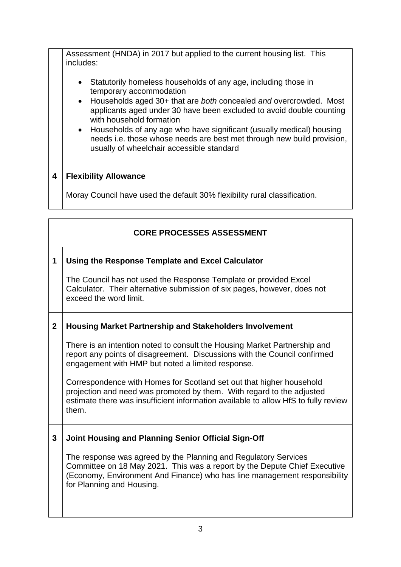Assessment (HNDA) in 2017 but applied to the current housing list. This includes:

- Statutorily homeless households of any age, including those in temporary accommodation
- Households aged 30+ that are *both* concealed *and* overcrowded. Most applicants aged under 30 have been excluded to avoid double counting with household formation
- Households of any age who have significant (usually medical) housing needs i.e. those whose needs are best met through new build provision, usually of wheelchair accessible standard

## **4 Flexibility Allowance**

Moray Council have used the default 30% flexibility rural classification.

## **CORE PROCESSES ASSESSMENT 1 Using the Response Template and Excel Calculator** The Council has not used the Response Template or provided Excel Calculator. Their alternative submission of six pages, however, does not exceed the word limit. **2 Housing Market Partnership and Stakeholders Involvement** There is an intention noted to consult the Housing Market Partnership and report any points of disagreement. Discussions with the Council confirmed engagement with HMP but noted a limited response. Correspondence with Homes for Scotland set out that higher household projection and need was promoted by them. With regard to the adjusted estimate there was insufficient information available to allow HfS to fully review them. **3 Joint Housing and Planning Senior Official Sign-Off** The response was agreed by the Planning and Regulatory Services Committee on 18 May 2021. This was a report by the Depute Chief Executive (Economy, Environment And Finance) who has line management responsibility for Planning and Housing.